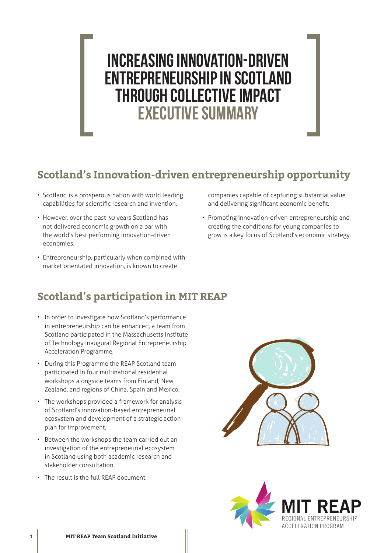# INCREASING INNOVATION-DRIVEN ENTREPRENEURSHIP IN SCOTLAND THROUGH COLLECTIVE IMPACT EXECUTIVE SUMMARY

### **Scotland's Innovation-driven entrepreneurship opportunity**

- Scotland is a prosperous nation with world leading capabilities for scientific research and invention.
- However, over the past 30 years Scotland has not delivered economic growth on a par with the world's best performing innovation-driven economies.
- Entrepreneurship, particularly when combined with market orientated innovation, is known to create

companies capable of capturing substantial value and delivering significant economic benefit.

• Promoting innovation-driven entrepreneurship and creating the conditions for young companies to grow is a key focus of Scotland's economic strategy.

## **Scotland's participation in MIT REAP**

- In order to investigate how Scotland's performance in entrepreneurship can be enhanced, a team from Scotland participated in the Massachusetts Institute of Technology inaugural Regional Entrepreneurship Acceleration Programme.
- During this Programme the REAP Scotland team participated in four multinational residential workshops alongside teams from Finland, New Zealand, and regions of China, Spain and Mexico.
- The workshops provided a framework for analysis of Scotland's innovation-based entrepreneurial ecosystem and development of a strategic action plan for improvement.
- Between the workshops the team carried out an investigation of the entrepreneurial ecosystem in Scotland using both academic research and stakeholder consultation.
- The result is the full REAP document.